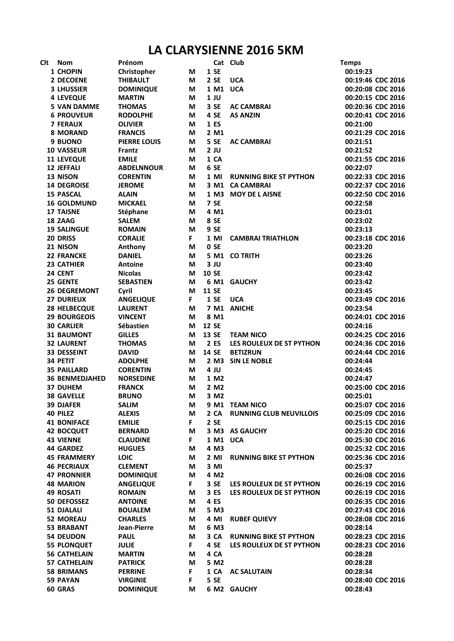## **LA CLARYSIENNE 2016 5KM**

| Clt | <b>Nom</b>            | Prénom              |        |                    | Cat Club                       | <b>Temps</b>      |
|-----|-----------------------|---------------------|--------|--------------------|--------------------------------|-------------------|
|     | 1 CHOPIN              | Christopher         | M      | 1 SE               |                                | 00:19:23          |
|     | 2 DECOENE             | <b>THIBAULT</b>     | М      | 2 SE               | <b>UCA</b>                     | 00:19:46 CDC 2016 |
|     | <b>3 LHUSSIER</b>     | <b>DOMINIQUE</b>    | M      | 1 M1 UCA           |                                | 00:20:08 CDC 2016 |
|     | <b>4 LEVEQUE</b>      | <b>MARTIN</b>       | М      | $1$ JU             |                                | 00:20:15 CDC 2016 |
|     | <b>5 VAN DAMME</b>    | <b>THOMAS</b>       | М      | 3 SE               | <b>AC CAMBRAI</b>              | 00:20:36 CDC 2016 |
|     | <b>6 PROUVEUR</b>     | <b>RODOLPHE</b>     | М      | 4 SE               | <b>AS ANZIN</b>                | 00:20:41 CDC 2016 |
|     | <b>7 FERAUX</b>       | <b>OLIVIER</b>      | М      | 1 ES               |                                | 00:21:00          |
|     | <b>8 MORAND</b>       | <b>FRANCIS</b>      | М      | 2 M1               |                                | 00:21:29 CDC 2016 |
|     | 9 BUONO               | <b>PIERRE LOUIS</b> | М      | 5 SE               | <b>AC CAMBRAI</b>              | 00:21:51          |
|     | <b>10 VASSEUR</b>     | Frantz              | М      | $2$ JU             |                                | 00:21:52          |
|     | <b>11 LEVEQUE</b>     | <b>EMILE</b>        | М      | 1 CA               |                                | 00:21:55 CDC 2016 |
|     | 12 JEFFALI            | <b>ABDELNNOUR</b>   | М      | 6 SE               |                                | 00:22:07          |
|     | 13 NISON              | <b>CORENTIN</b>     | M      | 1 MI               | <b>RUNNING BIKE ST PYTHON</b>  | 00:22:33 CDC 2016 |
|     | <b>14 DEGROISE</b>    | <b>JEROME</b>       | M      | 3 M1               | <b>CA CAMBRAI</b>              | 00:22:37 CDC 2016 |
|     | <b>15 PASCAL</b>      | <b>ALAIN</b>        | M      |                    | 1 M3 MOY DE LAISNE             | 00:22:50 CDC 2016 |
|     | <b>16 GOLDMUND</b>    | <b>MICKAEL</b>      | M      | 7 SE               |                                | 00:22:58          |
|     | <b>17 TAISNE</b>      | Stéphane            | М      | 4 M1               |                                | 00:23:01          |
|     | 18 ZAAG               | <b>SALEM</b>        | М      | 8 SE               |                                | 00:23:02          |
|     | <b>19 SALINGUE</b>    | <b>ROMAIN</b>       | M      | 9 SE               |                                | 00:23:13          |
|     | 20 DRISS              | <b>CORALIE</b>      | F.     | 1 MI               | <b>CAMBRAI TRIATHLON</b>       | 00:23:18 CDC 2016 |
|     | 21 NISON              | Anthony             | M      | 0 SE               |                                | 00:23:20          |
|     | <b>22 FRANCKE</b>     | <b>DANIEL</b>       | М      |                    | 5 M1 CO TRITH                  | 00:23:26          |
|     | <b>23 CATHIER</b>     | <b>Antoine</b>      | М      | 3JU                |                                | 00:23:40          |
|     | 24 CENT               | <b>Nicolas</b>      | М      | <b>10 SE</b>       |                                | 00:23:42          |
|     | 25 GENTE              |                     |        |                    |                                |                   |
|     |                       | <b>SEBASTIEN</b>    | М<br>M |                    | 6 M1 GAUCHY                    | 00:23:42          |
|     | <b>26 DEGREMONT</b>   | Cyril               |        | <b>11 SE</b>       |                                | 00:23:45          |
|     | <b>27 DURIEUX</b>     | <b>ANGELIQUE</b>    | F.     | <b>1 SE</b>        | <b>UCA</b>                     | 00:23:49 CDC 2016 |
|     | <b>28 HELBECQUE</b>   | <b>LAURENT</b>      | M      |                    | 7 M1 ANICHE                    | 00:23:54          |
|     | <b>29 BOURGEOIS</b>   | <b>VINCENT</b>      | М      | 8 M1               |                                | 00:24:01 CDC 2016 |
|     | <b>30 CARLIER</b>     | Sébastien           | М      | <b>12 SE</b>       |                                | 00:24:16          |
|     | <b>31 BAUMONT</b>     | <b>GILLES</b>       | М      | 13 SE              | <b>TEAM NICO</b>               | 00:24:25 CDC 2016 |
|     | <b>32 LAURENT</b>     | <b>THOMAS</b>       | M      | 2 ES               | LES ROULEUX DE ST PYTHON       | 00:24:36 CDC 2016 |
|     | <b>33 DESSEINT</b>    | <b>DAVID</b>        | М      | <b>14 SE</b>       | <b>BETIZRUN</b>                | 00:24:44 CDC 2016 |
|     | 34 PETIT              | <b>ADOLPHE</b>      | М      | $2$ M <sub>3</sub> | <b>SIN LE NOBLE</b>            | 00:24:44          |
|     | <b>35 PAILLARD</b>    | <b>CORENTIN</b>     | М      | 4 JU               |                                | 00:24:45          |
|     | <b>36 BENMEDJAHED</b> | <b>NORSEDINE</b>    | М      | 1 M2               |                                | 00:24:47          |
|     | <b>37 DUHEM</b>       | <b>FRANCK</b>       | М      | 2 M <sub>2</sub>   |                                | 00:25:00 CDC 2016 |
|     | <b>38 GAVELLE</b>     | <b>BRUNO</b>        | М      | 3 M2               |                                | 00:25:01          |
|     | <b>39 DJAFER</b>      | <b>SALIM</b>        | M      |                    | 9 M1 TEAM NICO                 | 00:25:07 CDC 2016 |
|     | <b>40 PILEZ</b>       | <b>ALEXIS</b>       | M      | 2 CA               | <b>RUNNING CLUB NEUVILLOIS</b> | 00:25:09 CDC 2016 |
|     | <b>41 BONIFACE</b>    | <b>EMILIE</b>       | F.     | 2 SE               |                                | 00:25:15 CDC 2016 |
|     | <b>42 BOCQUET</b>     | <b>BERNARD</b>      | М      |                    | 3 M3 AS GAUCHY                 | 00:25:20 CDC 2016 |
|     | <b>43 VIENNE</b>      | <b>CLAUDINE</b>     | F.     | 1 M1 UCA           |                                | 00:25:30 CDC 2016 |
|     | <b>44 GARDEZ</b>      | <b>HUGUES</b>       | M      | 4 M3               |                                | 00:25:32 CDC 2016 |
|     | <b>45 FRAMMERY</b>    | <b>LOIC</b>         | М      | $2$ MI             | <b>RUNNING BIKE ST PYTHON</b>  | 00:25:36 CDC 2016 |
|     | <b>46 PECRIAUX</b>    | <b>CLEMENT</b>      | М      | 3 MI               |                                | 00:25:37          |
|     | <b>47 PRONNIER</b>    | <b>DOMINIQUE</b>    | М      | 4 M <sub>2</sub>   |                                | 00:26:08 CDC 2016 |
|     | <b>48 MARION</b>      | <b>ANGELIQUE</b>    | F      | 3 SE               | LES ROULEUX DE ST PYTHON       | 00:26:19 CDC 2016 |
|     | <b>49 ROSATI</b>      | <b>ROMAIN</b>       | M      | 3 ES               | LES ROULEUX DE ST PYTHON       | 00:26:19 CDC 2016 |
|     | <b>50 DEFOSSEZ</b>    | <b>ANTOINE</b>      | М      | 4 ES               |                                | 00:26:35 CDC 2016 |
|     | <b>51 DJALALI</b>     | <b>BOUALEM</b>      | М      | 5 M3               |                                | 00:27:43 CDC 2016 |
|     | <b>52 MOREAU</b>      | <b>CHARLES</b>      | М      | 4 MI               | <b>RUBEF QUIEVY</b>            | 00:28:08 CDC 2016 |
|     | <b>53 BRABANT</b>     | Jean-Pierre         | М      | 6 M3               |                                | 00:28:14          |
|     | <b>54 DEUDON</b>      | <b>PAUL</b>         | M      | 3 CA               | <b>RUNNING BIKE ST PYTHON</b>  | 00:28:23 CDC 2016 |
|     | <b>55 PLONQUET</b>    | <b>JULIE</b>        | F.     | 4 SE               | LES ROULEUX DE ST PYTHON       | 00:28:23 CDC 2016 |
|     | <b>56 CATHELAIN</b>   | <b>MARTIN</b>       | М      | 4 CA               |                                | 00:28:28          |
|     | <b>57 CATHELAIN</b>   | <b>PATRICK</b>      | M      | 5 M2               |                                | 00:28:28          |
|     | <b>58 BRIMANS</b>     | <b>PERRINE</b>      | F      | 1 CA               | <b>AC SALUTAIN</b>             | 00:28:34          |
|     | 59 PAYAN              | <b>VIRGINIE</b>     | F      | 5 SE               |                                | 00:28:40 CDC 2016 |
|     | 60 GRAS               | <b>DOMINIQUE</b>    | M      |                    | 6 M2 GAUCHY                    | 00:28:43          |